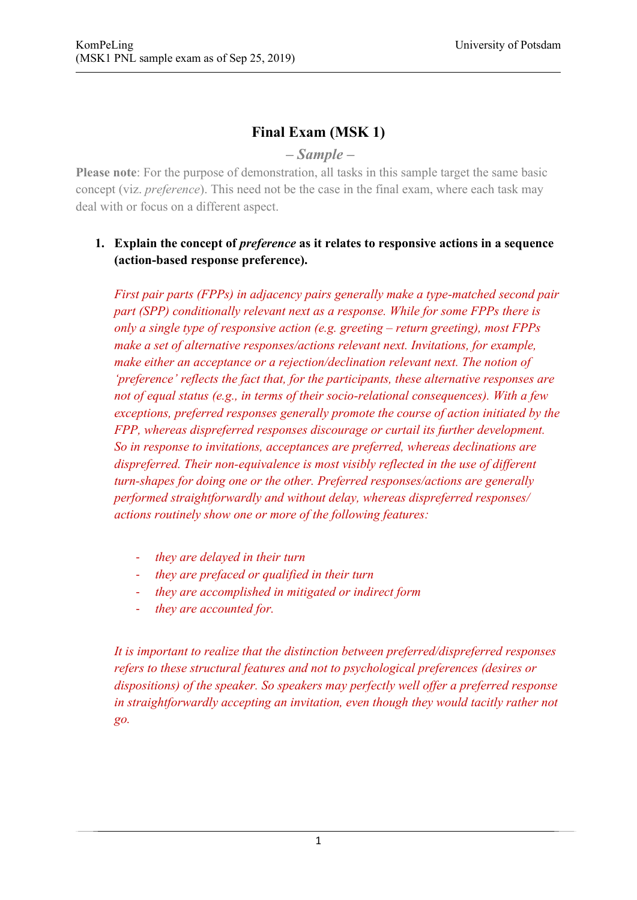# **Final Exam (MSK 1)**

# *– Sample –*

**Please note**: For the purpose of demonstration, all tasks in this sample target the same basic concept (viz. *preference*). This need not be the case in the final exam, where each task may deal with or focus on a different aspect.

# **1. Explain the concept of** *preference* **as it relates to responsive actions in a sequence (action-based response preference).**

*First pair parts (FPPs) in adjacency pairs generally make a type-matched second pair part (SPP) conditionally relevant next as a response. While for some FPPs there is only a single type of responsive action (e.g. greeting – return greeting), most FPPs make a set of alternative responses/actions relevant next. Invitations, for example, make either an acceptance or a rejection/declination relevant next. The notion of 'preference' reflects the fact that, for the participants, these alternative responses are not of equal status (e.g., in terms of their socio-relational consequences). With a few exceptions, preferred responses generally promote the course of action initiated by the FPP, whereas dispreferred responses discourage or curtail its further development. So in response to invitations, acceptances are preferred, whereas declinations are dispreferred. Their non-equivalence is most visibly reflected in the use of different turn-shapes for doing one or the other. Preferred responses/actions are generally performed straightforwardly and without delay, whereas dispreferred responses/ actions routinely show one or more of the following features:* 

- *they are delayed in their turn*
- *they are prefaced or qualified in their turn*
- *they are accomplished in mitigated or indirect form*
- *they are accounted for.*

*It is important to realize that the distinction between preferred/dispreferred responses refers to these structural features and not to psychological preferences (desires or dispositions) of the speaker. So speakers may perfectly well offer a preferred response in straightforwardly accepting an invitation, even though they would tacitly rather not go.*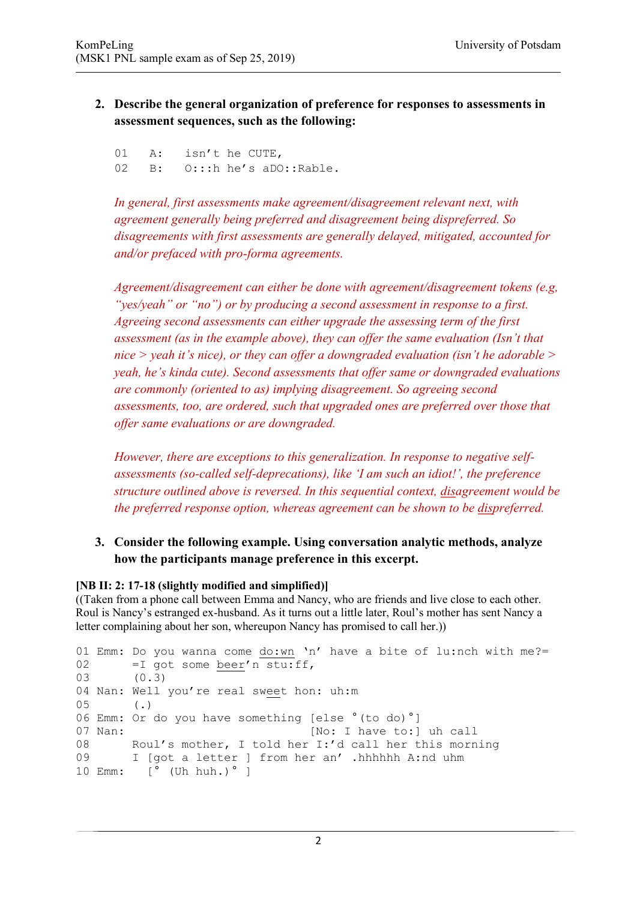### **2. Describe the general organization of preference for responses to assessments in assessment sequences, such as the following:**

01 A: isn't he CUTE, 02 B: O:::h he's aDO::Rable.

*In general, first assessments make agreement/disagreement relevant next, with agreement generally being preferred and disagreement being dispreferred. So disagreements with first assessments are generally delayed, mitigated, accounted for and/or prefaced with pro-forma agreements.*

*Agreement/disagreement can either be done with agreement/disagreement tokens (e.g, "yes/yeah" or "no") or by producing a second assessment in response to a first. Agreeing second assessments can either upgrade the assessing term of the first assessment (as in the example above), they can offer the same evaluation (Isn't that nice > yeah it's nice), or they can offer a downgraded evaluation (isn't he adorable > yeah, he's kinda cute). Second assessments that offer same or downgraded evaluations are commonly (oriented to as) implying disagreement. So agreeing second assessments, too, are ordered, such that upgraded ones are preferred over those that offer same evaluations or are downgraded.*

*However, there are exceptions to this generalization. In response to negative selfassessments (so-called self-deprecations), like 'I am such an idiot!', the preference structure outlined above is reversed. In this sequential context, disagreement would be the preferred response option, whereas agreement can be shown to be dispreferred.*

#### **3. Consider the following example. Using conversation analytic methods, analyze how the participants manage preference in this excerpt.**

#### **[NB II: 2: 17-18 (slightly modified and simplified)]**

((Taken from a phone call between Emma and Nancy, who are friends and live close to each other. Roul is Nancy's estranged ex-husband. As it turns out a little later, Roul's mother has sent Nancy a letter complaining about her son, whereupon Nancy has promised to call her.))

```
01 Emm: Do you wanna come do:wn 'n' have a bite of lu:nch with me?=
02 = I got some beer'n stu:ff,
03 (0.3)
04 Nan: Well you're real sweet hon: uh:m
05 (.)
06 Emm: Or do you have something [else °(to do)°]
07 Nan: [No: I have to:] uh call
08 Roul's mother, I told her I:'d call her this morning
09 I [got a letter ] from her an' .hhhhhh A:nd uhm
10 Emm: [° (Uh huh.)° ]
```